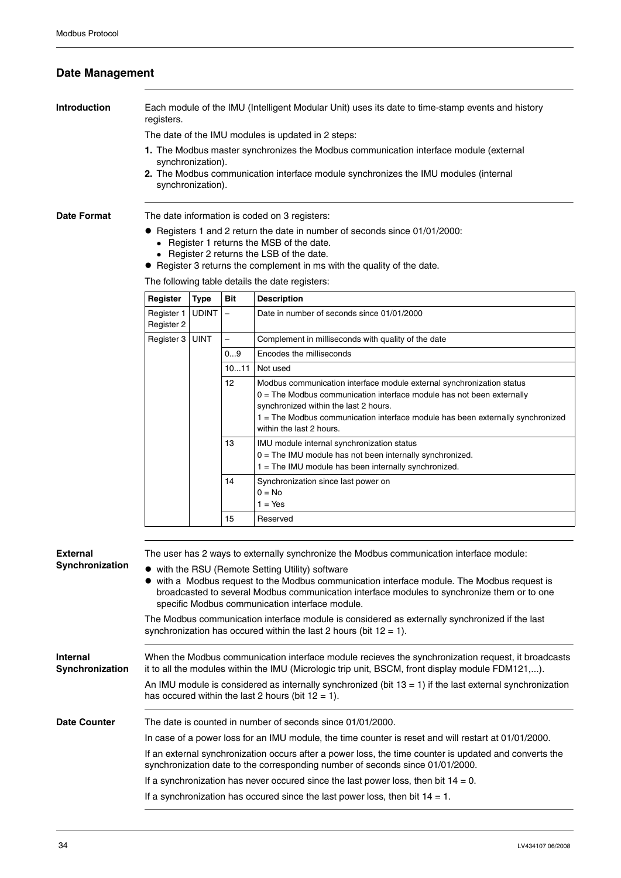## **Date Management**

**Introduction** Each module of the IMU (Intelligent Modular Unit) uses its date to time-stamp events and history registers.

The date of the IMU modules is updated in 2 steps:

- **1.** The Modbus master synchronizes the Modbus communication interface module (external synchronization).
- **2.** The Modbus communication interface module synchronizes the IMU modules (internal synchronization).

**Date Format** The date information is coded on 3 registers:

- Registers 1 and 2 return the date in number of seconds since 01/01/2000:
	- Register 1 returns the MSB of the date.
	- Register 2 returns the LSB of the date.
- Register 3 returns the complement in ms with the quality of the date.

The following table details the date registers:

| Register                 | <b>Type</b>  | Bit                      | <b>Description</b>                                                                                                                                                                                                                                                                                      |
|--------------------------|--------------|--------------------------|---------------------------------------------------------------------------------------------------------------------------------------------------------------------------------------------------------------------------------------------------------------------------------------------------------|
| Register 1<br>Register 2 | <b>UDINT</b> | $\overline{\phantom{0}}$ | Date in number of seconds since 01/01/2000                                                                                                                                                                                                                                                              |
| Register 3               | <b>UINT</b>  | -                        | Complement in milliseconds with quality of the date                                                                                                                                                                                                                                                     |
|                          |              | 09                       | Encodes the milliseconds                                                                                                                                                                                                                                                                                |
|                          |              | 1011                     | Not used                                                                                                                                                                                                                                                                                                |
|                          |              | 12 <sup>2</sup>          | Modbus communication interface module external synchronization status<br>$0 =$ The Modbus communication interface module has not been externally<br>synchronized within the last 2 hours.<br>1 = The Modbus communication interface module has been externally synchronized<br>within the last 2 hours. |
|                          |              | 13                       | IMU module internal synchronization status<br>0 = The IMU module has not been internally synchronized.<br>$1 =$ The IMU module has been internally synchronized.                                                                                                                                        |
|                          |              | 14                       | Synchronization since last power on<br>$0 = No$<br>$1 = Yes$                                                                                                                                                                                                                                            |
|                          |              | 15                       | Reserved                                                                                                                                                                                                                                                                                                |

| External                    | The user has 2 ways to externally synchronize the Modbus communication interface module:                                                                                                                                                                                                        |  |  |  |
|-----------------------------|-------------------------------------------------------------------------------------------------------------------------------------------------------------------------------------------------------------------------------------------------------------------------------------------------|--|--|--|
| Synchronization             | • with the RSU (Remote Setting Utility) software<br>with a Modbus request to the Modbus communication interface module. The Modbus request is<br>broadcasted to several Modbus communication interface modules to synchronize them or to one<br>specific Modbus communication interface module. |  |  |  |
|                             | The Modbus communication interface module is considered as externally synchronized if the last<br>synchronization has occured within the last 2 hours (bit $12 = 1$ ).                                                                                                                          |  |  |  |
| Internal<br>Synchronization | When the Modbus communication interface module recieves the synchronization request, it broadcasts<br>it to all the modules within the IMU (Micrologic trip unit, BSCM, front display module FDM121,).                                                                                          |  |  |  |
|                             | An IMU module is considered as internally synchronized (bit $13 = 1$ ) if the last external synchronization<br>has occured within the last 2 hours (bit $12 = 1$ ).                                                                                                                             |  |  |  |
| <b>Date Counter</b>         | The date is counted in number of seconds since 01/01/2000.                                                                                                                                                                                                                                      |  |  |  |
|                             | In case of a power loss for an IMU module, the time counter is reset and will restart at 01/01/2000.                                                                                                                                                                                            |  |  |  |
|                             | If an external synchronization occurs after a power loss, the time counter is updated and converts the<br>synchronization date to the corresponding number of seconds since 01/01/2000.                                                                                                         |  |  |  |
|                             | If a synchronization has never occured since the last power loss, then bit $14 = 0$ .                                                                                                                                                                                                           |  |  |  |
|                             | If a synchronization has occured since the last power loss, then bit $14 = 1$ .                                                                                                                                                                                                                 |  |  |  |
|                             |                                                                                                                                                                                                                                                                                                 |  |  |  |